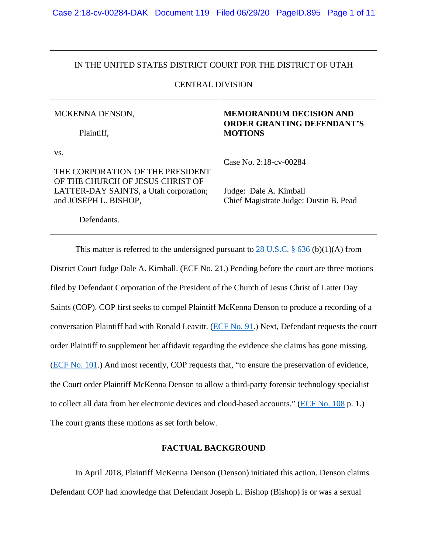## IN THE UNITED STATES DISTRICT COURT FOR THE DISTRICT OF UTAH

## CENTRAL DIVISION

| MCKENNA DENSON,                                                                                                                                | <b>MEMORANDUM DECISION AND</b>                                                             |
|------------------------------------------------------------------------------------------------------------------------------------------------|--------------------------------------------------------------------------------------------|
| Plaintiff,                                                                                                                                     | <b>ORDER GRANTING DEFENDANT'S</b><br><b>MOTIONS</b>                                        |
| VS.<br>THE CORPORATION OF THE PRESIDENT<br>OF THE CHURCH OF JESUS CHRIST OF<br>LATTER-DAY SAINTS, a Utah corporation;<br>and JOSEPH L. BISHOP, | Case No. 2:18-cv-00284<br>Judge: Dale A. Kimball<br>Chief Magistrate Judge: Dustin B. Pead |
| Defendants.                                                                                                                                    |                                                                                            |

This matter is referred to the undersigned pursuant to 28 U.S.C.  $\S$  636 (b)(1)(A) from District Court Judge Dale A. Kimball. (ECF No. 21.) Pending before the court are three motions filed by Defendant Corporation of the President of the Church of Jesus Christ of Latter Day Saints (COP). COP first seeks to compel Plaintiff McKenna Denson to produce a recording of a conversation Plaintiff had with Ronald Leavitt. [\(ECF No. 91.](https://ecf.utd.uscourts.gov/doc1/18314880479)) Next, Defendant requests the court order Plaintiff to supplement her affidavit regarding the evidence she claims has gone missing. [\(ECF No. 101.](https://ecf.utd.uscourts.gov/doc1/18314941385)) And most recently, COP requests that, "to ensure the preservation of evidence, the Court order Plaintiff McKenna Denson to allow a third-party forensic technology specialist to collect all data from her electronic devices and cloud-based accounts." [\(ECF No. 108](https://ecf.utd.uscourts.gov/doc1/18314982418) p. 1.) The court grants these motions as set forth below.

## **FACTUAL BACKGROUND**

In April 2018, Plaintiff McKenna Denson (Denson) initiated this action. Denson claims Defendant COP had knowledge that Defendant Joseph L. Bishop (Bishop) is or was a sexual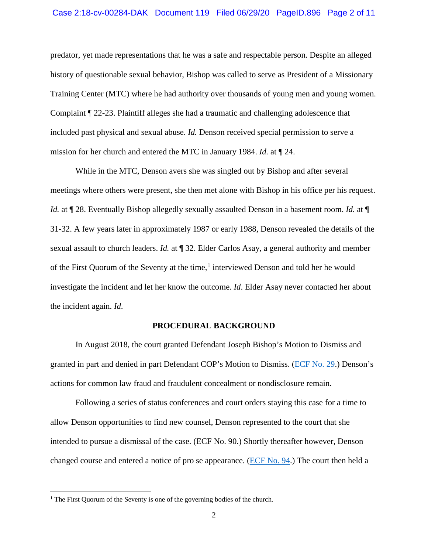predator, yet made representations that he was a safe and respectable person. Despite an alleged history of questionable sexual behavior, Bishop was called to serve as President of a Missionary Training Center (MTC) where he had authority over thousands of young men and young women. Complaint ¶ 22-23. Plaintiff alleges she had a traumatic and challenging adolescence that included past physical and sexual abuse. *Id.* Denson received special permission to serve a mission for her church and entered the MTC in January 1984. *Id.* at ¶ 24.

While in the MTC, Denson avers she was singled out by Bishop and after several meetings where others were present, she then met alone with Bishop in his office per his request. *Id.* at  $\P$  28. Eventually Bishop allegedly sexually assaulted Denson in a basement room. *Id.* at  $\P$ 31-32. A few years later in approximately 1987 or early 1988, Denson revealed the details of the sexual assault to church leaders. *Id.* at ¶ 32. Elder Carlos Asay, a general authority and member of the First Quorum of the Seventy at the time,<sup>[1](#page-1-0)</sup> interviewed Denson and told her he would investigate the incident and let her know the outcome. *Id*. Elder Asay never contacted her about the incident again. *Id*.

#### **PROCEDURAL BACKGROUND**

In August 2018, the court granted Defendant Joseph Bishop's Motion to Dismiss and granted in part and denied in part Defendant COP's Motion to Dismiss. [\(ECF No. 29.](https://ecf.utd.uscourts.gov/doc1/18314390792)) Denson's actions for common law fraud and fraudulent concealment or nondisclosure remain.

Following a series of status conferences and court orders staying this case for a time to allow Denson opportunities to find new counsel, Denson represented to the court that she intended to pursue a dismissal of the case. (ECF No. 90.) Shortly thereafter however, Denson changed course and entered a notice of pro se appearance. [\(ECF No.](https://ecf.utd.uscourts.gov/doc1/18314892231) 94.) The court then held a

 $\overline{a}$ 

<span id="page-1-0"></span><sup>&</sup>lt;sup>1</sup> The First Quorum of the Seventy is one of the governing bodies of the church.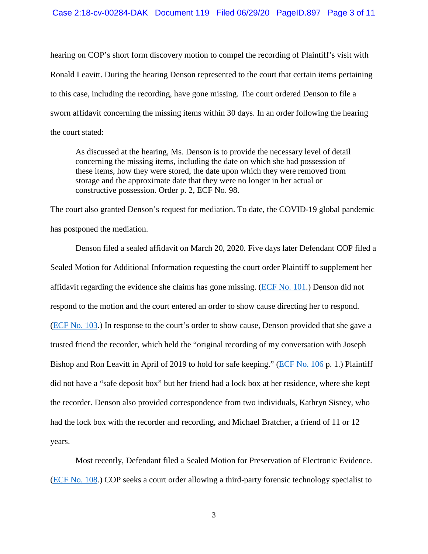hearing on COP's short form discovery motion to compel the recording of Plaintiff's visit with Ronald Leavitt. During the hearing Denson represented to the court that certain items pertaining to this case, including the recording, have gone missing. The court ordered Denson to file a sworn affidavit concerning the missing items within 30 days. In an order following the hearing the court stated:

As discussed at the hearing, Ms. Denson is to provide the necessary level of detail concerning the missing items, including the date on which she had possession of these items, how they were stored, the date upon which they were removed from storage and the approximate date that they were no longer in her actual or constructive possession. Order p. 2, ECF No. 98.

The court also granted Denson's request for mediation. To date, the COVID-19 global pandemic has postponed the mediation.

Denson filed a sealed affidavit on March 20, 2020. Five days later Defendant COP filed a Sealed Motion for Additional Information requesting the court order Plaintiff to supplement her affidavit regarding the evidence she claims has gone missing. [\(ECF No. 101.](https://ecf.utd.uscourts.gov/doc1/18314941385)) Denson did not respond to the motion and the court entered an order to show cause directing her to respond. [\(ECF No. 103.](https://ecf.utd.uscourts.gov/doc1/18314954098)) In response to the court's order to show cause, Denson provided that she gave a trusted friend the recorder, which held the "original recording of my conversation with Joseph Bishop and Ron Leavitt in April of 2019 to hold for safe keeping." [\(ECF No. 106](https://ecf.utd.uscourts.gov/doc1/18314970096) p. 1.) Plaintiff did not have a "safe deposit box" but her friend had a lock box at her residence, where she kept the recorder. Denson also provided correspondence from two individuals, Kathryn Sisney, who had the lock box with the recorder and recording, and Michael Bratcher, a friend of 11 or 12 years.

Most recently, Defendant filed a Sealed Motion for Preservation of Electronic Evidence. [\(ECF No. 108.](https://ecf.utd.uscourts.gov/doc1/18314982418)) COP seeks a court order allowing a third-party forensic technology specialist to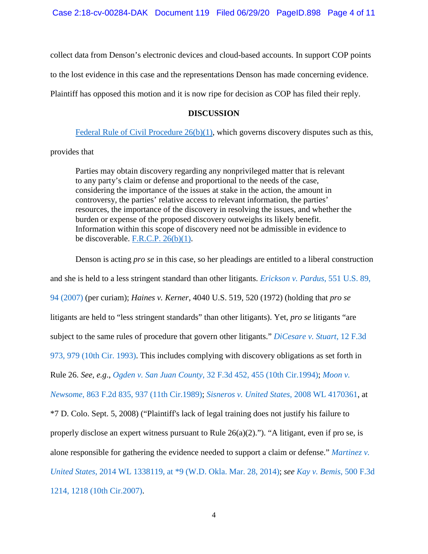collect data from Denson's electronic devices and cloud-based accounts. In support COP points

to the lost evidence in this case and the representations Denson has made concerning evidence.

Plaintiff has opposed this motion and it is now ripe for decision as COP has filed their reply.

## **DISCUSSION**

Federal Rule of Civil Procedure  $26(b)(1)$ , which governs discovery disputes such as this,

## provides that

Parties may obtain discovery regarding any nonprivileged matter that is relevant to any party's claim or defense and proportional to the needs of the case, considering the importance of the issues at stake in the action, the amount in controversy, the parties' relative access to relevant information, the parties' resources, the importance of the discovery in resolving the issues, and whether the burden or expense of the proposed discovery outweighs its likely benefit. Information within this scope of discovery need not be admissible in evidence to be discoverable. F.R.C.P.  $26(b)(1)$ .

Denson is acting *pro se* in this case, so her pleadings are entitled to a liberal construction and she is held to a less stringent standard than other litigants. *[Erickson v. Pardus](https://www.westlaw.com/Document/I71a59acb125911dc962ef0ed15906072/View/FullText.html?transitionType=Default&contextData=(sc.Default)&VR=3.0&RS=da3.0&fragmentIdentifier=co_pp_sp_780_94)*, 551 U.S. 89, [94 \(2007\)](https://www.westlaw.com/Document/I71a59acb125911dc962ef0ed15906072/View/FullText.html?transitionType=Default&contextData=(sc.Default)&VR=3.0&RS=da3.0&fragmentIdentifier=co_pp_sp_780_94) (per curiam); *Haines v. Kerner*, 4040 U.S. 519, 520 (1972) (holding that *pro se* litigants are held to "less stringent standards" than other litigants). Yet, *pro se* litigants "are subject to the same rules of procedure that govern other litigants." *[DiCesare v. Stuart](https://www.westlaw.com/Document/I07492a9a970011d993e6d35cc61aab4a/View/FullText.html?transitionType=Default&contextData=(sc.Default)&VR=3.0&RS=da3.0&fragmentIdentifier=co_pp_sp_506_979)*, 12 F.3d [973, 979 \(10th Cir. 1993\).](https://www.westlaw.com/Document/I07492a9a970011d993e6d35cc61aab4a/View/FullText.html?transitionType=Default&contextData=(sc.Default)&VR=3.0&RS=da3.0&fragmentIdentifier=co_pp_sp_506_979) This includes complying with discovery obligations as set forth in Rule 26. *See, e.g*., *Ogden v. San Juan County*[, 32 F.3d 452, 455 \(10th Cir.1994\);](https://www.westlaw.com/Document/Iaab98dc4970811d9bc61beebb95be672/View/FullText.html?transitionType=Default&contextData=(sc.Default)&VR=3.0&RS=da3.0&fragmentIdentifier=co_pp_sp_506_455) *[Moon v.](https://www.westlaw.com/Document/I1fb62064960611d9a707f4371c9c34f0/View/FullText.html?transitionType=Default&contextData=(sc.Default)&VR=3.0&RS=da3.0&fragmentIdentifier=co_pp_sp_350_937)  Newsome*[, 863 F.2d 835, 937 \(11th Cir.1989\);](https://www.westlaw.com/Document/I1fb62064960611d9a707f4371c9c34f0/View/FullText.html?transitionType=Default&contextData=(sc.Default)&VR=3.0&RS=da3.0&fragmentIdentifier=co_pp_sp_350_937) *[Sisneros v. United States](https://www.westlaw.com/Document/I723d9acc802811ddb7e583ba170699a5/View/FullText.html?transitionType=Default&contextData=(sc.Default)&VR=3.0&RS=da3.0)*, 2008 WL 4170361, at \*7 D. Colo. Sept. 5, 2008) ("Plaintiff's lack of legal training does not justify his failure to properly disclose an expert witness pursuant to Rule 26(a)(2)."). "A litigant, even if pro se, is alone responsible for gathering the evidence needed to support a claim or defense." *[Martinez v.](https://www.westlaw.com/Document/I51a6d39ebd3911e3a659df62eba144e8/View/FullText.html?transitionType=Default&contextData=(sc.Default)&VR=3.0&RS=da3.0&fragmentIdentifier=co_pp_sp_999_9)  United States*[, 2014 WL 1338119, at \\*9 \(W.D. Okla. Mar. 28, 2014\);](https://www.westlaw.com/Document/I51a6d39ebd3911e3a659df62eba144e8/View/FullText.html?transitionType=Default&contextData=(sc.Default)&VR=3.0&RS=da3.0&fragmentIdentifier=co_pp_sp_999_9) *see [Kay v. Bemis](https://www.westlaw.com/Document/Icca88da6651111dc8200d0063168b01f/View/FullText.html?transitionType=Default&contextData=(sc.Default)&VR=3.0&RS=da3.0&fragmentIdentifier=co_pp_sp_506_1218)*, 500 F.3d [1214, 1218 \(10th Cir.2007\).](https://www.westlaw.com/Document/Icca88da6651111dc8200d0063168b01f/View/FullText.html?transitionType=Default&contextData=(sc.Default)&VR=3.0&RS=da3.0&fragmentIdentifier=co_pp_sp_506_1218)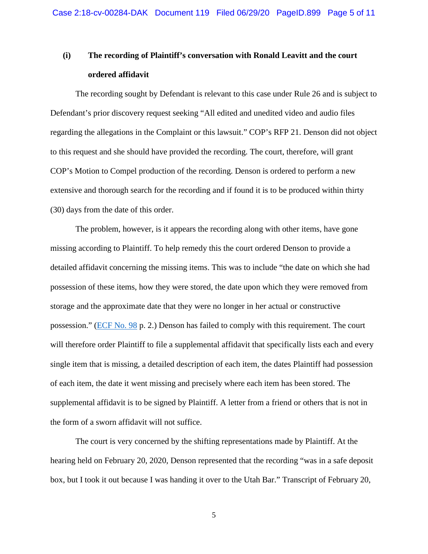# **(i) The recording of Plaintiff's conversation with Ronald Leavitt and the court ordered affidavit**

The recording sought by Defendant is relevant to this case under Rule 26 and is subject to Defendant's prior discovery request seeking "All edited and unedited video and audio files regarding the allegations in the Complaint or this lawsuit." COP's RFP 21. Denson did not object to this request and she should have provided the recording. The court, therefore, will grant COP's Motion to Compel production of the recording. Denson is ordered to perform a new extensive and thorough search for the recording and if found it is to be produced within thirty (30) days from the date of this order.

The problem, however, is it appears the recording along with other items, have gone missing according to Plaintiff. To help remedy this the court ordered Denson to provide a detailed affidavit concerning the missing items. This was to include "the date on which she had possession of these items, how they were stored, the date upon which they were removed from storage and the approximate date that they were no longer in her actual or constructive possession." [\(ECF No. 98](https://ecf.utd.uscourts.gov/doc1/18314909514) p. 2.) Denson has failed to comply with this requirement. The court will therefore order Plaintiff to file a supplemental affidavit that specifically lists each and every single item that is missing, a detailed description of each item, the dates Plaintiff had possession of each item, the date it went missing and precisely where each item has been stored. The supplemental affidavit is to be signed by Plaintiff. A letter from a friend or others that is not in the form of a sworn affidavit will not suffice.

The court is very concerned by the shifting representations made by Plaintiff. At the hearing held on February 20, 2020, Denson represented that the recording "was in a safe deposit box, but I took it out because I was handing it over to the Utah Bar." Transcript of February 20,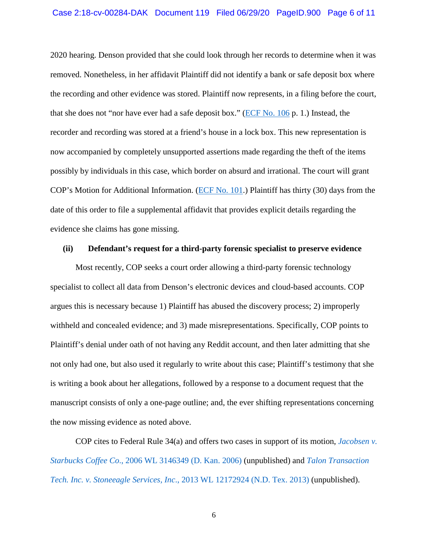2020 hearing. Denson provided that she could look through her records to determine when it was removed. Nonetheless, in her affidavit Plaintiff did not identify a bank or safe deposit box where the recording and other evidence was stored. Plaintiff now represents, in a filing before the court, that she does not "nor have ever had a safe deposit box." [\(ECF No. 106](https://ecf.utd.uscourts.gov/doc1/18314970096) p. 1.) Instead, the recorder and recording was stored at a friend's house in a lock box. This new representation is now accompanied by completely unsupported assertions made regarding the theft of the items possibly by individuals in this case, which border on absurd and irrational. The court will grant COP's Motion for Additional Information. [\(ECF No. 101.](https://ecf.utd.uscourts.gov/doc1/18314941385)) Plaintiff has thirty (30) days from the date of this order to file a supplemental affidavit that provides explicit details regarding the evidence she claims has gone missing.

#### **(ii) Defendant's request for a third-party forensic specialist to preserve evidence**

Most recently, COP seeks a court order allowing a third-party forensic technology specialist to collect all data from Denson's electronic devices and cloud-based accounts. COP argues this is necessary because 1) Plaintiff has abused the discovery process; 2) improperly withheld and concealed evidence; and 3) made misrepresentations. Specifically, COP points to Plaintiff's denial under oath of not having any Reddit account, and then later admitting that she not only had one, but also used it regularly to write about this case; Plaintiff's testimony that she is writing a book about her allegations, followed by a response to a document request that the manuscript consists of only a one-page outline; and, the ever shifting representations concerning the now missing evidence as noted above.

COP cites to Federal Rule 34(a) and offers two cases in support of its motion, *[Jacobsen v.](https://www.westlaw.com/Document/Ia0d7e8ef6ba211dba10be1078cee05f1/View/FullText.html?transitionType=Default&contextData=(sc.Default)&VR=3.0&RS=da3.0)  Starbucks Coffee Co*[., 2006 WL 3146349 \(D. Kan. 2006\)](https://www.westlaw.com/Document/Ia0d7e8ef6ba211dba10be1078cee05f1/View/FullText.html?transitionType=Default&contextData=(sc.Default)&VR=3.0&RS=da3.0) (unpublished) and *[Talon Transaction](https://www.westlaw.com/Document/Ib1f934a0d81911e6ae36ba8bbc8f4702/View/FullText.html?transitionType=Default&contextData=(sc.Default)&VR=3.0&RS=da3.0)  Tech. Inc. v. Stoneeagle Services, Inc*[., 2013 WL 12172924 \(N.D. Tex. 2013\)](https://www.westlaw.com/Document/Ib1f934a0d81911e6ae36ba8bbc8f4702/View/FullText.html?transitionType=Default&contextData=(sc.Default)&VR=3.0&RS=da3.0) (unpublished).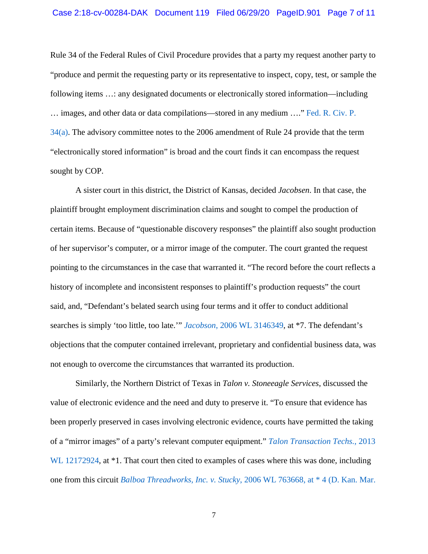Rule 34 of the Federal Rules of Civil Procedure provides that a party my request another party to "produce and permit the requesting party or its representative to inspect, copy, test, or sample the following items …: any designated documents or electronically stored information—including … images, and other data or data compilations—stored in any medium …." [Fed. R. Civ. P.](https://www.westlaw.com/Document/N69CE1AA0B96511D8983DF34406B5929B/View/FullText.html?transitionType=Default&contextData=(sc.Default)&VR=3.0&RS=da3.0)  [34\(a\).](https://www.westlaw.com/Document/N69CE1AA0B96511D8983DF34406B5929B/View/FullText.html?transitionType=Default&contextData=(sc.Default)&VR=3.0&RS=da3.0) The advisory committee notes to the 2006 amendment of Rule 24 provide that the term "electronically stored information" is broad and the court finds it can encompass the request sought by COP.

A sister court in this district, the District of Kansas, decided *Jacobsen*. In that case, the plaintiff brought employment discrimination claims and sought to compel the production of certain items. Because of "questionable discovery responses" the plaintiff also sought production of her supervisor's computer, or a mirror image of the computer. The court granted the request pointing to the circumstances in the case that warranted it. "The record before the court reflects a history of incomplete and inconsistent responses to plaintiff's production requests" the court said, and, "Defendant's belated search using four terms and it offer to conduct additional searches is simply 'too little, too late.'" *Jacobson*[, 2006 WL 3146349,](https://www.westlaw.com/Document/Ia0d7e8ef6ba211dba10be1078cee05f1/View/FullText.html?transitionType=Default&contextData=(sc.Default)&VR=3.0&RS=da3.0) at \*7. The defendant's objections that the computer contained irrelevant, proprietary and confidential business data, was not enough to overcome the circumstances that warranted its production.

Similarly, the Northern District of Texas in *Talon v. Stoneeagle Services*, discussed the value of electronic evidence and the need and duty to preserve it. "To ensure that evidence has been properly preserved in cases involving electronic evidence, courts have permitted the taking of a "mirror images" of a party's relevant computer equipment." *[Talon Transaction Techs.](https://www.westlaw.com/Document/Ib1f934a0d81911e6ae36ba8bbc8f4702/View/FullText.html?transitionType=Default&contextData=(sc.Default)&VR=3.0&RS=da3.0)*, 2013 [WL 12172924,](https://www.westlaw.com/Document/Ib1f934a0d81911e6ae36ba8bbc8f4702/View/FullText.html?transitionType=Default&contextData=(sc.Default)&VR=3.0&RS=da3.0) at  $*1$ . That court then cited to examples of cases where this was done, including one from this circuit *Balboa Threadworks, Inc. v. Stucky*[, 2006 WL 763668, at \\* 4 \(D. Kan. Mar.](https://www.westlaw.com/Document/I2f7ad63bbdc411da95ddf7b8264d17cf/View/FullText.html?transitionType=Default&contextData=(sc.Default)&VR=3.0&RS=da3.0&fragmentIdentifier=co_pp_sp_999_4)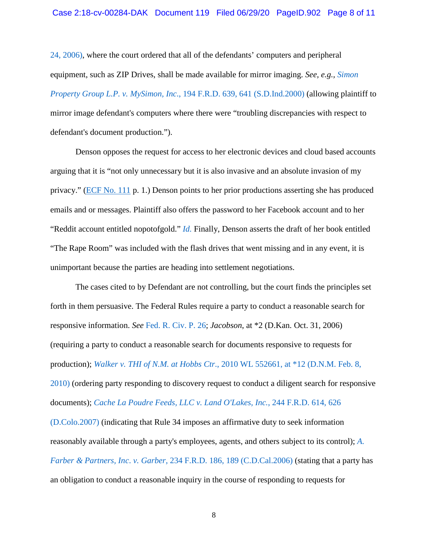[24, 2006\),](https://www.westlaw.com/Document/I2f7ad63bbdc411da95ddf7b8264d17cf/View/FullText.html?transitionType=Default&contextData=(sc.Default)&VR=3.0&RS=da3.0&fragmentIdentifier=co_pp_sp_999_4) where the court ordered that all of the defendants' computers and peripheral equipment, such as ZIP Drives, shall be made available for mirror imaging. *See, e.g., [Simon](https://www.westlaw.com/Document/I52637b4d53ce11d9a99c85a9e6023ffa/View/FullText.html?transitionType=Default&contextData=(sc.Default)&VR=3.0&RS=da3.0&fragmentIdentifier=co_pp_sp_344_641)  Property Group L.P. v. MySimon, Inc*[., 194 F.R.D. 639, 641 \(S.D.Ind.2000\)](https://www.westlaw.com/Document/I52637b4d53ce11d9a99c85a9e6023ffa/View/FullText.html?transitionType=Default&contextData=(sc.Default)&VR=3.0&RS=da3.0&fragmentIdentifier=co_pp_sp_344_641) (allowing plaintiff to mirror image defendant's computers where there were "troubling discrepancies with respect to defendant's document production.").

Denson opposes the request for access to her electronic devices and cloud based accounts arguing that it is "not only unnecessary but it is also invasive and an absolute invasion of my privacy." [\(ECF No. 111](https://ecf.utd.uscourts.gov/doc1/18314997228) p. 1.) Denson points to her prior productions asserting she has produced emails and or messages. Plaintiff also offers the password to her Facebook account and to her "Reddit account entitled nopotofgold." *[Id.](https://www.westlaw.com/Document/I52637b4d53ce11d9a99c85a9e6023ffa/View/FullText.html?transitionType=Default&contextData=(sc.Default)&VR=3.0&RS=da3.0)* Finally, Denson asserts the draft of her book entitled "The Rape Room" was included with the flash drives that went missing and in any event, it is unimportant because the parties are heading into settlement negotiations.

The cases cited to by Defendant are not controlling, but the court finds the principles set forth in them persuasive. The Federal Rules require a party to conduct a reasonable search for responsive information. *See* [Fed. R. Civ. P. 26;](https://www.westlaw.com/Document/NCBF83860B96411D8983DF34406B5929B/View/FullText.html?transitionType=Default&contextData=(sc.Default)&VR=3.0&RS=da3.0) *Jacobson*, at \*2 (D.Kan. Oct. 31, 2006) (requiring a party to conduct a reasonable search for documents responsive to requests for production); *Walker v. THI of N.M. at Hobbs Ctr*[., 2010 WL 552661, at \\*12 \(D.N.M. Feb. 8,](https://www.westlaw.com/Document/I652777c51ce811df9988d233d23fe599/View/FullText.html?transitionType=Default&contextData=(sc.Default)&VR=3.0&RS=da3.0&fragmentIdentifier=co_pp_sp_999_12)  [2010\)](https://www.westlaw.com/Document/I652777c51ce811df9988d233d23fe599/View/FullText.html?transitionType=Default&contextData=(sc.Default)&VR=3.0&RS=da3.0&fragmentIdentifier=co_pp_sp_999_12) (ordering party responding to discovery request to conduct a diligent search for responsive documents); *[Cache La Poudre Feeds, LLC v. Land O'Lakes, Inc.](https://www.westlaw.com/Document/Ia5c2ca26cd6c11dbafc6849dc347959a/View/FullText.html?transitionType=Default&contextData=(sc.Default)&VR=3.0&RS=da3.0&fragmentIdentifier=co_pp_sp_344_626)*, 244 F.R.D. 614, 626 [\(D.Colo.2007\)](https://www.westlaw.com/Document/Ia5c2ca26cd6c11dbafc6849dc347959a/View/FullText.html?transitionType=Default&contextData=(sc.Default)&VR=3.0&RS=da3.0&fragmentIdentifier=co_pp_sp_344_626) (indicating that Rule 34 imposes an affirmative duty to seek information reasonably available through a party's employees, agents, and others subject to its control); *[A.](https://www.westlaw.com/Document/If691272fadd811da8ccbb4c14e983401/View/FullText.html?transitionType=Default&contextData=(sc.Default)&VR=3.0&RS=da3.0&fragmentIdentifier=co_pp_sp_344_189)  Farber & Partners, Inc*. *v. Garber*[, 234 F.R.D. 186, 189 \(C.D.Cal.2006\)](https://www.westlaw.com/Document/If691272fadd811da8ccbb4c14e983401/View/FullText.html?transitionType=Default&contextData=(sc.Default)&VR=3.0&RS=da3.0&fragmentIdentifier=co_pp_sp_344_189) (stating that a party has an obligation to conduct a reasonable inquiry in the course of responding to requests for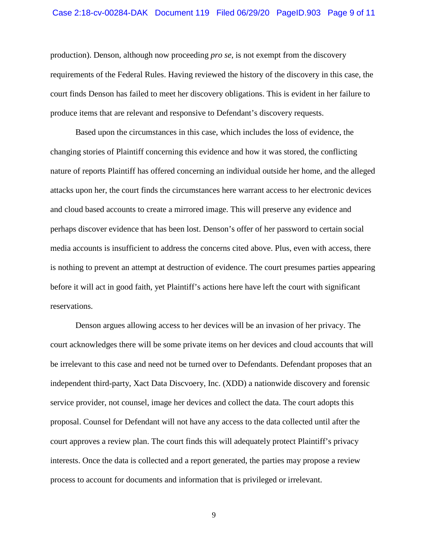#### Case 2:18-cv-00284-DAK Document 119 Filed 06/29/20 PageID.903 Page 9 of 11

production). Denson, although now proceeding *pro se*, is not exempt from the discovery requirements of the Federal Rules. Having reviewed the history of the discovery in this case, the court finds Denson has failed to meet her discovery obligations. This is evident in her failure to produce items that are relevant and responsive to Defendant's discovery requests.

Based upon the circumstances in this case, which includes the loss of evidence, the changing stories of Plaintiff concerning this evidence and how it was stored, the conflicting nature of reports Plaintiff has offered concerning an individual outside her home, and the alleged attacks upon her, the court finds the circumstances here warrant access to her electronic devices and cloud based accounts to create a mirrored image. This will preserve any evidence and perhaps discover evidence that has been lost. Denson's offer of her password to certain social media accounts is insufficient to address the concerns cited above. Plus, even with access, there is nothing to prevent an attempt at destruction of evidence. The court presumes parties appearing before it will act in good faith, yet Plaintiff's actions here have left the court with significant reservations.

Denson argues allowing access to her devices will be an invasion of her privacy. The court acknowledges there will be some private items on her devices and cloud accounts that will be irrelevant to this case and need not be turned over to Defendants. Defendant proposes that an independent third-party, Xact Data Discvoery, Inc. (XDD) a nationwide discovery and forensic service provider, not counsel, image her devices and collect the data. The court adopts this proposal. Counsel for Defendant will not have any access to the data collected until after the court approves a review plan. The court finds this will adequately protect Plaintiff's privacy interests. Once the data is collected and a report generated, the parties may propose a review process to account for documents and information that is privileged or irrelevant.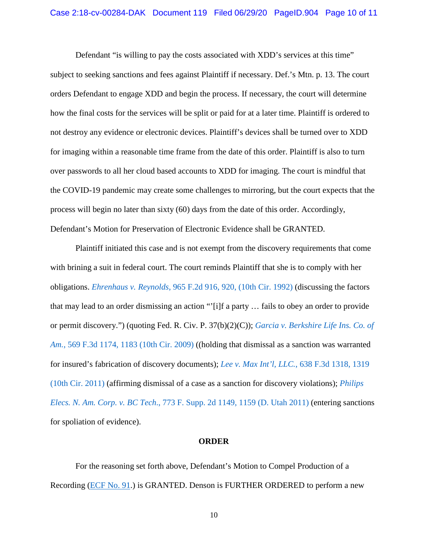Defendant "is willing to pay the costs associated with XDD's services at this time"

subject to seeking sanctions and fees against Plaintiff if necessary. Def.'s Mtn. p. 13. The court orders Defendant to engage XDD and begin the process. If necessary, the court will determine how the final costs for the services will be split or paid for at a later time. Plaintiff is ordered to not destroy any evidence or electronic devices. Plaintiff's devices shall be turned over to XDD for imaging within a reasonable time frame from the date of this order. Plaintiff is also to turn over passwords to all her cloud based accounts to XDD for imaging. The court is mindful that the COVID-19 pandemic may create some challenges to mirroring, but the court expects that the process will begin no later than sixty (60) days from the date of this order. Accordingly, Defendant's Motion for Preservation of Electronic Evidence shall be GRANTED.

Plaintiff initiated this case and is not exempt from the discovery requirements that come with brining a suit in federal court. The court reminds Plaintiff that she is to comply with her obligations. *Ehrenhaus v. Reynolds*[, 965 F.2d 916, 920, \(10th Cir. 1992\)](https://www.westlaw.com/Document/Ia8f770f294cf11d9bdd1cfdd544ca3a4/View/FullText.html?transitionType=Default&contextData=(sc.Default)&VR=3.0&RS=da3.0&fragmentIdentifier=co_pp_sp_350_920) (discussing the factors that may lead to an order dismissing an action "'[i]f a party … fails to obey an order to provide or permit discovery.") (quoting Fed. R. Civ. P. 37(b)(2)(C)); *[Garcia v. Berkshire Life Ins. Co. of](https://www.westlaw.com/Document/Iedca5df955ce11deabded03f2b83b8a4/View/FullText.html?transitionType=Default&contextData=(sc.Default)&VR=3.0&RS=da3.0&fragmentIdentifier=co_pp_sp_506_1183)  Am.*[, 569 F.3d 1174, 1183 \(10th Cir. 2009\)](https://www.westlaw.com/Document/Iedca5df955ce11deabded03f2b83b8a4/View/FullText.html?transitionType=Default&contextData=(sc.Default)&VR=3.0&RS=da3.0&fragmentIdentifier=co_pp_sp_506_1183) ((holding that dismissal as a sanction was warranted for insured's fabrication of discovery documents); *Lee v. Max Int'l, LLC.*[, 638 F.3d 1318, 1319](https://www.westlaw.com/Document/Ic846d84d75a311e0af6af9916f973d19/View/FullText.html?transitionType=Default&contextData=(sc.Default)&VR=3.0&RS=da3.0&fragmentIdentifier=co_pp_sp_506_1319)  [\(10th Cir. 2011\)](https://www.westlaw.com/Document/Ic846d84d75a311e0af6af9916f973d19/View/FullText.html?transitionType=Default&contextData=(sc.Default)&VR=3.0&RS=da3.0&fragmentIdentifier=co_pp_sp_506_1319) (affirming dismissal of a case as a sanction for discovery violations); *[Philips](https://www.westlaw.com/Document/I4fdd359b436511e0ac6aa914c1fd1d3f/View/FullText.html?transitionType=Default&contextData=(sc.Default)&VR=3.0&RS=da3.0&fragmentIdentifier=co_pp_sp_4637_1159)  Elecs. N. Am. Corp. v. BC Tech*[., 773 F. Supp. 2d 1149, 1159 \(D. Utah 2011\)](https://www.westlaw.com/Document/I4fdd359b436511e0ac6aa914c1fd1d3f/View/FullText.html?transitionType=Default&contextData=(sc.Default)&VR=3.0&RS=da3.0&fragmentIdentifier=co_pp_sp_4637_1159) (entering sanctions for spoliation of evidence).

#### **ORDER**

For the reasoning set forth above, Defendant's Motion to Compel Production of a Recording [\(ECF No. 91.](https://ecf.utd.uscourts.gov/doc1/18314880479)) is GRANTED. Denson is FURTHER ORDERED to perform a new